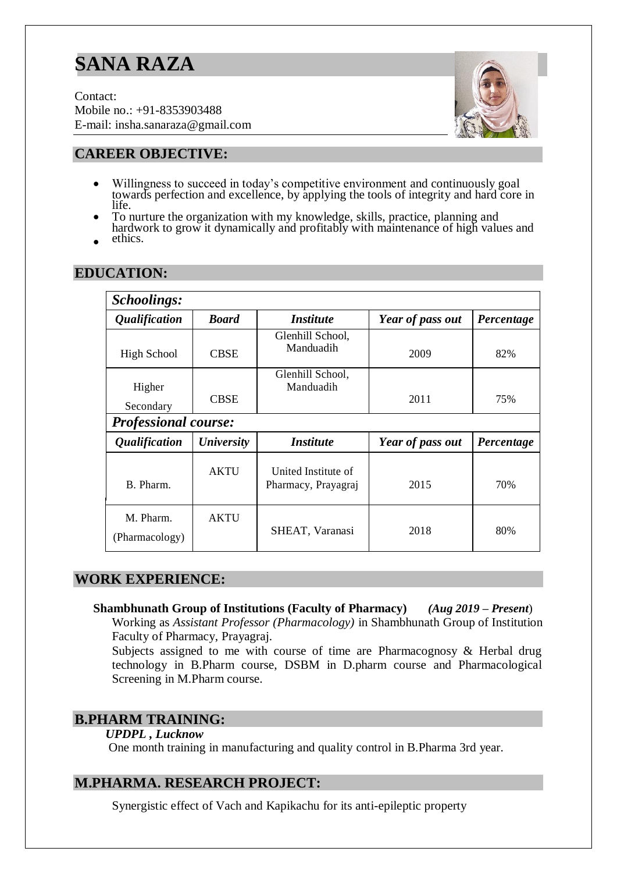# **SANA RAZA**

Contact: Mobile no.: +91-8353903488 E-mail: insha.sanaraza@gmail.com



## **CAREER OBJECTIVE:**

- Willingness to succeed in today's competitive environment and continuously goal towards perfection and excellence, by applying the tools of integrity and hard core in life.
- To nurture the organization with my knowledge, skills, practice, planning and hardwork to grow it dynamically and profitably with maintenance of high values and
- ethics.

| Schoolings:                 |                          |                                            |                  |            |  |
|-----------------------------|--------------------------|--------------------------------------------|------------------|------------|--|
| <i><b>Qualification</b></i> | <b>Board</b>             | <i><b>Institute</b></i>                    | Year of pass out | Percentage |  |
| <b>High School</b>          | <b>CBSE</b>              | Glenhill School,<br>Manduadih              | 2009             | 82%        |  |
| Higher<br>Secondary         | <b>CBSE</b>              | Glenhill School,<br>Manduadih              | 2011             | 75%        |  |
| <b>Professional course:</b> |                          |                                            |                  |            |  |
| <i><b>Qualification</b></i> | <b><i>University</i></b> | <i><b>Institute</b></i>                    | Year of pass out | Percentage |  |
| B. Pharm.                   | <b>AKTU</b>              | United Institute of<br>Pharmacy, Prayagraj | 2015             | 70%        |  |
| M. Pharm.<br>(Pharmacology) | <b>AKTU</b>              | SHEAT, Varanasi                            | 2018             | 80%        |  |

## **EDUCATION:**

### **WORK EXPERIENCE:**

**Shambhunath Group of Institutions (Faculty of Pharmacy)** *(Aug 2019 – Present*)

Working as *Assistant Professor (Pharmacology)* in Shambhunath Group of Institution Faculty of Pharmacy, Prayagraj.

Subjects assigned to me with course of time are Pharmacognosy & Herbal drug technology in B.Pharm course, DSBM in D.pharm course and Pharmacological Screening in M.Pharm course.

### **B.PHARM TRAINING:**

#### *UPDPL , Lucknow*

One month training in manufacturing and quality control in B.Pharma 3rd year.

### **M.PHARMA. RESEARCH PROJECT:**

Synergistic effect of Vach and Kapikachu for its anti-epileptic property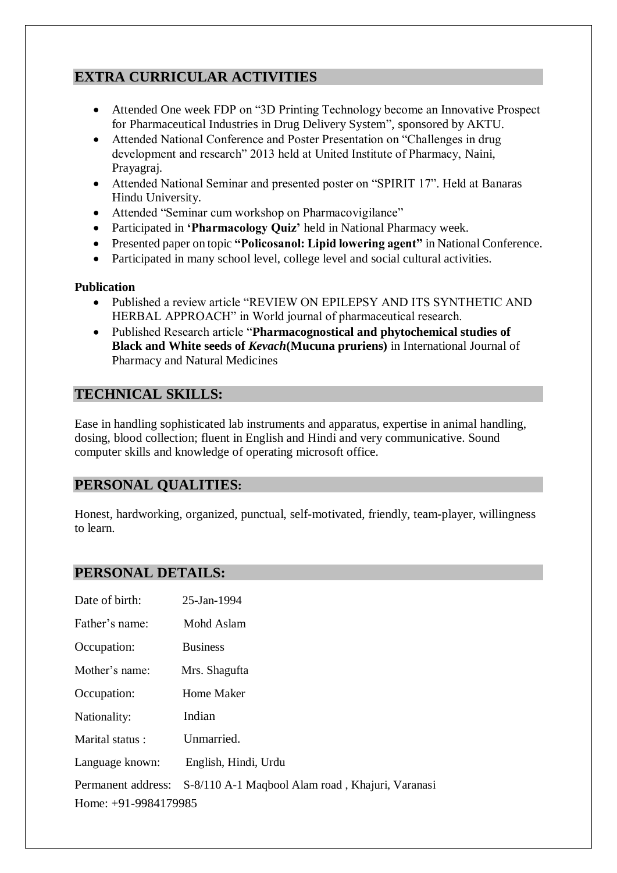# **EXTRA CURRICULAR ACTIVITIES**

- Attended One week FDP on "3D Printing Technology become an Innovative Prospect for Pharmaceutical Industries in Drug Delivery System", sponsored by AKTU.
- Attended National Conference and Poster Presentation on "Challenges in drug development and research" 2013 held at United Institute of Pharmacy, Naini, Prayagraj.
- Attended National Seminar and presented poster on "SPIRIT 17". Held at Banaras Hindu University.
- Attended "Seminar cum workshop on Pharmacovigilance"
- Participated in **'Pharmacology Quiz'** held in National Pharmacy week.
- Presented paper on topic **"Policosanol: Lipid lowering agent"** in National Conference.
- Participated in many school level, college level and social cultural activities.

#### **Publication**

- Published a review article "REVIEW ON EPILEPSY AND ITS SYNTHETIC AND HERBAL APPROACH" in World journal of pharmaceutical research.
- Published Research article "**Pharmacognostical and phytochemical studies of Black and White seeds of** *Kevach***(Mucuna pruriens)** in International Journal of Pharmacy and Natural Medicines

## **TECHNICAL SKILLS:**

Ease in handling sophisticated lab instruments and apparatus, expertise in animal handling, dosing, blood collection; fluent in English and Hindi and very communicative. Sound computer skills and knowledge of operating microsoft office.

## **PERSONAL QUALITIES:**

Honest, hardworking, organized, punctual, self-motivated, friendly, team-player, willingness to learn.

### **PERSONAL DETAILS:**

| Date of birth:         | 25-Jan-1994                                      |
|------------------------|--------------------------------------------------|
| Father's name:         | Mohd Aslam                                       |
| Occupation:            | <b>Business</b>                                  |
| Mother's name:         | Mrs. Shagufta                                    |
| Occupation:            | Home Maker                                       |
| Nationality:           | Indian                                           |
| Marital status:        | Unmarried.                                       |
| Language known:        | English, Hindi, Urdu                             |
| Permanent address:     | S-8/110 A-1 Maqbool Alam road, Khajuri, Varanasi |
| Home: $+91-9984179985$ |                                                  |